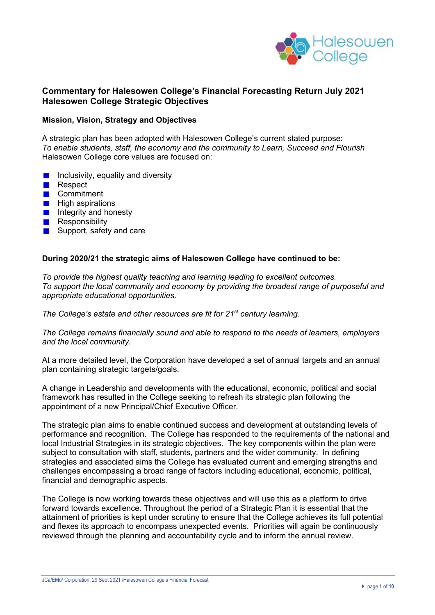

## **Commentary for Halesowen College's Financial Forecasting Return July 2021 Halesowen College Strategic Objectives**

#### **Mission, Vision, Strategy and Objectives**

A strategic plan has been adopted with Halesowen College's current stated purpose: *To enable students, staff, the economy and the community to Learn, Succeed and Flourish* Halesowen College core values are focused on:

- Inclusivity, equality and diversity
- $\mathcal{L}$ Respect
- **Commitment**
- $\blacksquare$  High aspirations
- $\blacksquare$  Integrity and honesty
- **Responsibility**
- Support, safety and care

#### **During 2020/21 the strategic aims of Halesowen College have continued to be:**

*To provide the highest quality teaching and learning leading to excellent outcomes. To support the local community and economy by providing the broadest range of purposeful and appropriate educational opportunities.*

*The College's estate and other resources are fit for 21st century learning.*

*The College remains financially sound and able to respond to the needs of learners, employers and the local community.*

At a more detailed level, the Corporation have developed a set of annual targets and an annual plan containing strategic targets/goals.

A change in Leadership and developments with the educational, economic, political and social framework has resulted in the College seeking to refresh its strategic plan following the appointment of a new Principal/Chief Executive Officer.

The strategic plan aims to enable continued success and development at outstanding levels of performance and recognition. The College has responded to the requirements of the national and local Industrial Strategies in its strategic objectives. The key components within the plan were subject to consultation with staff, students, partners and the wider community. In defining strategies and associated aims the College has evaluated current and emerging strengths and challenges encompassing a broad range of factors including educational, economic, political, financial and demographic aspects.

The College is now working towards these objectives and will use this as a platform to drive forward towards excellence. Throughout the period of a Strategic Plan it is essential that the attainment of priorities is kept under scrutiny to ensure that the College achieves its full potential and flexes its approach to encompass unexpected events. Priorities will again be continuously reviewed through the planning and accountability cycle and to inform the annual review.

JCa/EMo/ Corporation: 29 Sept 2021 /Halesowen College's Financial Forecast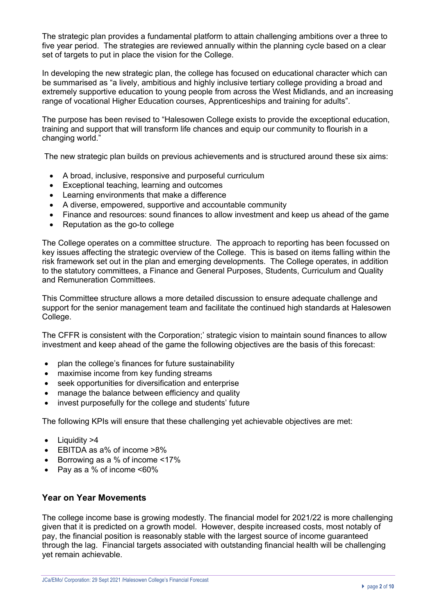The strategic plan provides a fundamental platform to attain challenging ambitions over a three to five year period. The strategies are reviewed annually within the planning cycle based on a clear set of targets to put in place the vision for the College.

In developing the new strategic plan, the college has focused on educational character which can be summarised as "a lively, ambitious and highly inclusive tertiary college providing a broad and extremely supportive education to young people from across the West Midlands, and an increasing range of vocational Higher Education courses, Apprenticeships and training for adults".

The purpose has been revised to "Halesowen College exists to provide the exceptional education, training and support that will transform life chances and equip our community to flourish in a changing world."

The new strategic plan builds on previous achievements and is structured around these six aims:

- A broad, inclusive, responsive and purposeful curriculum
- Exceptional teaching, learning and outcomes
- Learning environments that make a difference
- A diverse, empowered, supportive and accountable community
- Finance and resources: sound finances to allow investment and keep us ahead of the game
- Reputation as the go-to college

The College operates on a committee structure. The approach to reporting has been focussed on key issues affecting the strategic overview of the College. This is based on items falling within the risk framework set out in the plan and emerging developments. The College operates, in addition to the statutory committees, a Finance and General Purposes, Students, Curriculum and Quality and Remuneration Committees.

This Committee structure allows a more detailed discussion to ensure adequate challenge and support for the senior management team and facilitate the continued high standards at Halesowen College.

The CFFR is consistent with the Corporation;' strategic vision to maintain sound finances to allow investment and keep ahead of the game the following objectives are the basis of this forecast:

- plan the college's finances for future sustainability
- maximise income from key funding streams
- seek opportunities for diversification and enterprise
- manage the balance between efficiency and quality
- invest purposefully for the college and students' future

The following KPIs will ensure that these challenging yet achievable objectives are met:

- Liquidity >4
- EBITDA as a% of income >8%
- Borrowing as a % of income <17%
- Pay as a % of income <60%

# **Year on Year Movements**

The college income base is growing modestly. The financial model for 2021/22 is more challenging given that it is predicted on a growth model. However, despite increased costs, most notably of pay, the financial position is reasonably stable with the largest source of income guaranteed through the lag. Financial targets associated with outstanding financial health will be challenging yet remain achievable.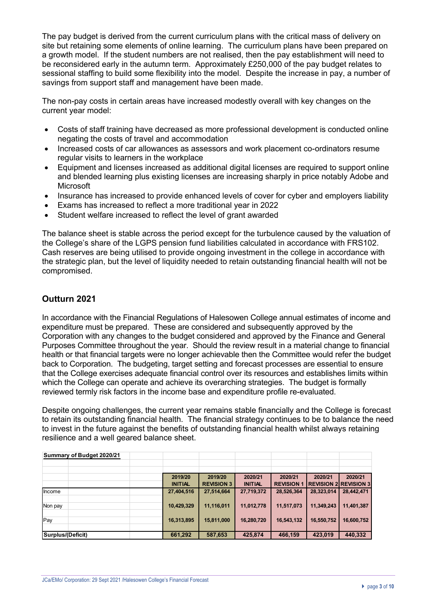The pay budget is derived from the current curriculum plans with the critical mass of delivery on site but retaining some elements of online learning. The curriculum plans have been prepared on a growth model. If the student numbers are not realised, then the pay establishment will need to be reconsidered early in the autumn term. Approximately £250,000 of the pay budget relates to sessional staffing to build some flexibility into the model. Despite the increase in pay, a number of savings from support staff and management have been made.

The non-pay costs in certain areas have increased modestly overall with key changes on the current year model:

- Costs of staff training have decreased as more professional development is conducted online negating the costs of travel and accommodation
- Increased costs of car allowances as assessors and work placement co-ordinators resume regular visits to learners in the workplace
- Equipment and licenses increased as additional digital licenses are required to support online and blended learning plus existing licenses are increasing sharply in price notably Adobe and **Microsoft**
- Insurance has increased to provide enhanced levels of cover for cyber and employers liability
- Exams has increased to reflect a more traditional year in 2022
- Student welfare increased to reflect the level of grant awarded

The balance sheet is stable across the period except for the turbulence caused by the valuation of the College's share of the LGPS pension fund liabilities calculated in accordance with FRS102. Cash reserves are being utilised to provide ongoing investment in the college in accordance with the strategic plan, but the level of liquidity needed to retain outstanding financial health will not be compromised.

## **Outturn 2021**

In accordance with the Financial Regulations of Halesowen College annual estimates of income and expenditure must be prepared. These are considered and subsequently approved by the Corporation with any changes to the budget considered and approved by the Finance and General Purposes Committee throughout the year. Should the review result in a material change to financial health or that financial targets were no longer achievable then the Committee would refer the budget back to Corporation. The budgeting, target setting and forecast processes are essential to ensure that the College exercises adequate financial control over its resources and establishes limits within which the College can operate and achieve its overarching strategies. The budget is formally reviewed termly risk factors in the income base and expenditure profile re-evaluated.

Despite ongoing challenges, the current year remains stable financially and the College is forecast to retain its outstanding financial health. The financial strategy continues to be to balance the need to invest in the future against the benefits of outstanding financial health whilst always retaining resilience and a well geared balance sheet.

| Summary of Budget 2020/21 |                           |                              |                |                   |                               |            |
|---------------------------|---------------------------|------------------------------|----------------|-------------------|-------------------------------|------------|
|                           |                           |                              |                |                   |                               |            |
|                           |                           |                              | 2020/21        | 2020/21           | 2020/21                       |            |
|                           | 2019/20<br><b>INITIAL</b> | 2019/20<br><b>REVISION 3</b> | <b>INITIAL</b> | <b>REVISION 1</b> | <b>IREVISION 2 REVISION 3</b> | 2020/21    |
| Income                    | 27,404,516                | 27,514,664                   | 27,719,372     | 28,526,364        | 28,323,014                    | 28,442,471 |
| Non pay                   | 10,429,329                | 11,116,011                   | 11,012,778     | 11,517,073        | 11,349,243                    | 11,401,387 |
| Pay                       | 16,313,895                | 15,811,000                   | 16,280,720     | 16,543,132        | 16,550,752                    | 16,600,752 |
| Surplus/(Deficit)         | 661,292                   | 587,653                      | 425,874        | 466,159           | 423,019                       | 440,332    |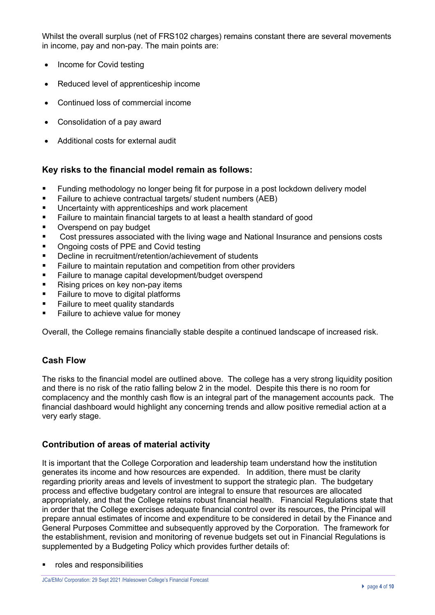Whilst the overall surplus (net of FRS102 charges) remains constant there are several movements in income, pay and non-pay. The main points are:

- Income for Covid testing
- Reduced level of apprenticeship income
- Continued loss of commercial income
- Consolidation of a pay award
- Additional costs for external audit

## **Key risks to the financial model remain as follows:**

- Funding methodology no longer being fit for purpose in a post lockdown delivery model
- Failure to achieve contractual targets/ student numbers (AEB)
- Uncertainty with apprenticeships and work placement
- Failure to maintain financial targets to at least a health standard of good
- Overspend on pay budget
- Cost pressures associated with the living wage and National Insurance and pensions costs
- Ongoing costs of PPE and Covid testing
- Decline in recruitment/retention/achievement of students
- Failure to maintain reputation and competition from other providers
- Failure to manage capital development/budget overspend
- Rising prices on key non-pay items
- Failure to move to digital platforms
- § Failure to meet quality standards
- Failure to achieve value for money

Overall, the College remains financially stable despite a continued landscape of increased risk.

### **Cash Flow**

The risks to the financial model are outlined above. The college has a very strong liquidity position and there is no risk of the ratio falling below 2 in the model. Despite this there is no room for complacency and the monthly cash flow is an integral part of the management accounts pack. The financial dashboard would highlight any concerning trends and allow positive remedial action at a very early stage.

### **Contribution of areas of material activity**

It is important that the College Corporation and leadership team understand how the institution generates its income and how resources are expended. In addition, there must be clarity regarding priority areas and levels of investment to support the strategic plan. The budgetary process and effective budgetary control are integral to ensure that resources are allocated appropriately, and that the College retains robust financial health. Financial Regulations state that in order that the College exercises adequate financial control over its resources, the Principal will prepare annual estimates of income and expenditure to be considered in detail by the Finance and General Purposes Committee and subsequently approved by the Corporation. The framework for the establishment, revision and monitoring of revenue budgets set out in Financial Regulations is supplemented by a Budgeting Policy which provides further details of:

■ roles and responsibilities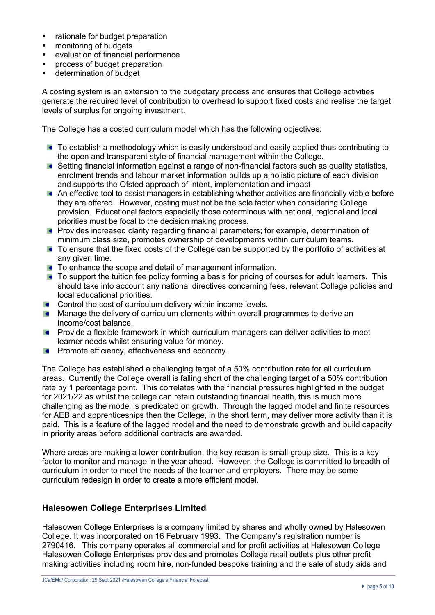- rationale for budget preparation
- monitoring of budgets
- evaluation of financial performance
- **•** process of budget preparation
- **■** determination of budget

A costing system is an extension to the budgetary process and ensures that College activities generate the required level of contribution to overhead to support fixed costs and realise the target levels of surplus for ongoing investment.

The College has a costed curriculum model which has the following objectives:

- To establish a methodology which is easily understood and easily applied thus contributing to the open and transparent style of financial management within the College.
- Setting financial information against a range of non-financial factors such as quality statistics, enrolment trends and labour market information builds up a holistic picture of each division and supports the Ofsted approach of intent, implementation and impact
- An effective tool to assist managers in establishing whether activities are financially viable before they are offered. However, costing must not be the sole factor when considering College provision. Educational factors especially those coterminous with national, regional and local priorities must be focal to the decision making process.
- **Provides increased clarity regarding financial parameters; for example, determination of** minimum class size, promotes ownership of developments within curriculum teams.
- **To ensure that the fixed costs of the College can be supported by the portfolio of activities at** any given time.
- **To enhance the scope and detail of management information.**
- To support the tuition fee policy forming a basis for pricing of courses for adult learners. This should take into account any national directives concerning fees, relevant College policies and local educational priorities.
- **Control the cost of curriculum delivery within income levels.**
- **Manage the delivery of curriculum elements within overall programmes to derive an** income/cost balance.
- Provide a flexible framework in which curriculum managers can deliver activities to meet  $\bullet$ learner needs whilst ensuring value for money.
- Promote efficiency, effectiveness and economy.  $\bullet$

The College has established a challenging target of a 50% contribution rate for all curriculum areas. Currently the College overall is falling short of the challenging target of a 50% contribution rate by 1 percentage point. This correlates with the financial pressures highlighted in the budget for 2021/22 as whilst the college can retain outstanding financial health, this is much more challenging as the model is predicated on growth. Through the lagged model and finite resources for AEB and apprenticeships then the College, in the short term, may deliver more activity than it is paid. This is a feature of the lagged model and the need to demonstrate growth and build capacity in priority areas before additional contracts are awarded.

Where areas are making a lower contribution, the key reason is small group size. This is a key factor to monitor and manage in the year ahead. However, the College is committed to breadth of curriculum in order to meet the needs of the learner and employers. There may be some curriculum redesign in order to create a more efficient model.

# **Halesowen College Enterprises Limited**

Halesowen College Enterprises is a company limited by shares and wholly owned by Halesowen College. It was incorporated on 16 February 1993. The Company's registration number is 2790416. This company operates all commercial and for profit activities at Halesowen College Halesowen College Enterprises provides and promotes College retail outlets plus other profit making activities including room hire, non-funded bespoke training and the sale of study aids and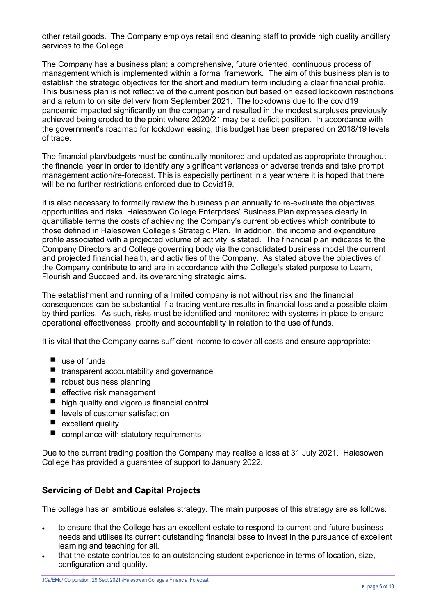other retail goods. The Company employs retail and cleaning staff to provide high quality ancillary services to the College.

The Company has a business plan; a comprehensive, future oriented, continuous process of management which is implemented within a formal framework. The aim of this business plan is to establish the strategic objectives for the short and medium term including a clear financial profile. This business plan is not reflective of the current position but based on eased lockdown restrictions and a return to on site delivery from September 2021. The lockdowns due to the covid19 pandemic impacted significantly on the company and resulted in the modest surpluses previously achieved being eroded to the point where 2020/21 may be a deficit position. In accordance with the government's roadmap for lockdown easing, this budget has been prepared on 2018/19 levels of trade.

The financial plan/budgets must be continually monitored and updated as appropriate throughout the financial year in order to identify any significant variances or adverse trends and take prompt management action/re-forecast. This is especially pertinent in a year where it is hoped that there will be no further restrictions enforced due to Covid19.

It is also necessary to formally review the business plan annually to re-evaluate the objectives, opportunities and risks. Halesowen College Enterprises' Business Plan expresses clearly in quantifiable terms the costs of achieving the Company's current objectives which contribute to those defined in Halesowen College's Strategic Plan. In addition, the income and expenditure profile associated with a projected volume of activity is stated. The financial plan indicates to the Company Directors and College governing body via the consolidated business model the current and projected financial health, and activities of the Company. As stated above the objectives of the Company contribute to and are in accordance with the College's stated purpose to Learn, Flourish and Succeed and, its overarching strategic aims.

The establishment and running of a limited company is not without risk and the financial consequences can be substantial if a trading venture results in financial loss and a possible claim by third parties. As such, risks must be identified and monitored with systems in place to ensure operational effectiveness, probity and accountability in relation to the use of funds.

It is vital that the Company earns sufficient income to cover all costs and ensure appropriate:

- use of funds
- $\blacksquare$  transparent accountability and governance
- $\blacksquare$  robust business planning
- $\blacksquare$  effective risk management
- high quality and vigorous financial control
- $\blacksquare$  levels of customer satisfaction
- $\blacksquare$  excellent quality
- $\Box$  compliance with statutory requirements

Due to the current trading position the Company may realise a loss at 31 July 2021. Halesowen College has provided a guarantee of support to January 2022.

## **Servicing of Debt and Capital Projects**

The college has an ambitious estates strategy. The main purposes of this strategy are as follows:

- to ensure that the College has an excellent estate to respond to current and future business needs and utilises its current outstanding financial base to invest in the pursuance of excellent learning and teaching for all.
- that the estate contributes to an outstanding student experience in terms of location, size, configuration and quality.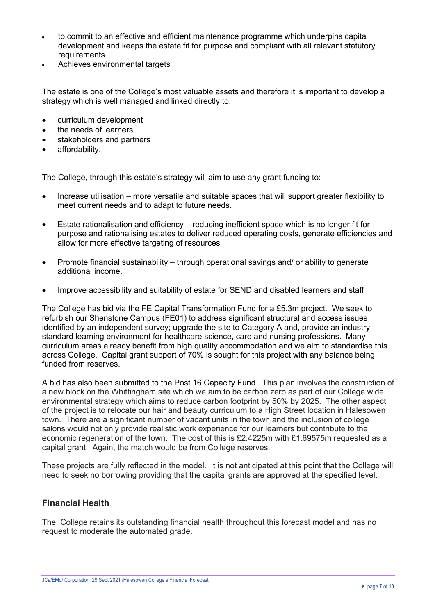- to commit to an effective and efficient maintenance programme which underpins capital development and keeps the estate fit for purpose and compliant with all relevant statutory requirements.
- Achieves environmental targets

The estate is one of the College's most valuable assets and therefore it is important to develop a strategy which is well managed and linked directly to:

- curriculum development
- the needs of learners
- stakeholders and partners
- affordability.

The College, through this estate's strategy will aim to use any grant funding to:

- Increase utilisation more versatile and suitable spaces that will support greater flexibility to meet current needs and to adapt to future needs.
- Estate rationalisation and efficiency reducing inefficient space which is no longer fit for purpose and rationalising estates to deliver reduced operating costs, generate efficiencies and allow for more effective targeting of resources
- Promote financial sustainability through operational savings and/ or ability to generate additional income.
- Improve accessibility and suitability of estate for SEND and disabled learners and staff

The College has bid via the FE Capital Transformation Fund for a £5.3m project. We seek to refurbish our Shenstone Campus (FE01) to address significant structural and access issues identified by an independent survey; upgrade the site to Category A and, provide an industry standard learning environment for healthcare science, care and nursing professions. Many curriculum areas already benefit from high quality accommodation and we aim to standardise this across College. Capital grant support of 70% is sought for this project with any balance being funded from reserves.

A bid has also been submitted to the Post 16 Capacity Fund. This plan involves the construction of a new block on the Whittingham site which we aim to be carbon zero as part of our College wide environmental strategy which aims to reduce carbon footprint by 50% by 2025. The other aspect of the project is to relocate our hair and beauty curriculum to a High Street location in Halesowen town. There are a significant number of vacant units in the town and the inclusion of college salons would not only provide realistic work experience for our learners but contribute to the economic regeneration of the town. The cost of this is £2.4225m with £1.69575m requested as a capital grant. Again, the match would be from College reserves.

These projects are fully reflected in the model. It is not anticipated at this point that the College will need to seek no borrowing providing that the capital grants are approved at the specified level.

### **Financial Health**

The College retains its outstanding financial health throughout this forecast model and has no request to moderate the automated grade.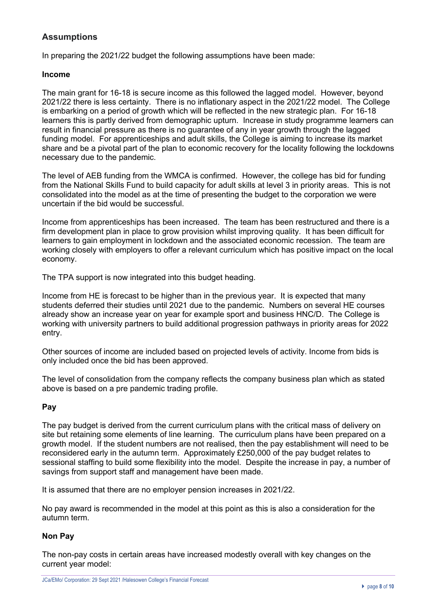# **Assumptions**

In preparing the 2021/22 budget the following assumptions have been made:

#### **Income**

The main grant for 16-18 is secure income as this followed the lagged model. However, beyond 2021/22 there is less certainty. There is no inflationary aspect in the 2021/22 model. The College is embarking on a period of growth which will be reflected in the new strategic plan. For 16-18 learners this is partly derived from demographic upturn. Increase in study programme learners can result in financial pressure as there is no guarantee of any in year growth through the lagged funding model. For apprenticeships and adult skills, the College is aiming to increase its market share and be a pivotal part of the plan to economic recovery for the locality following the lockdowns necessary due to the pandemic.

The level of AEB funding from the WMCA is confirmed. However, the college has bid for funding from the National Skills Fund to build capacity for adult skills at level 3 in priority areas. This is not consolidated into the model as at the time of presenting the budget to the corporation we were uncertain if the bid would be successful.

Income from apprenticeships has been increased. The team has been restructured and there is a firm development plan in place to grow provision whilst improving quality. It has been difficult for learners to gain employment in lockdown and the associated economic recession. The team are working closely with employers to offer a relevant curriculum which has positive impact on the local economy.

The TPA support is now integrated into this budget heading.

Income from HE is forecast to be higher than in the previous year. It is expected that many students deferred their studies until 2021 due to the pandemic. Numbers on several HE courses already show an increase year on year for example sport and business HNC/D. The College is working with university partners to build additional progression pathways in priority areas for 2022 entry.

Other sources of income are included based on projected levels of activity. Income from bids is only included once the bid has been approved.

The level of consolidation from the company reflects the company business plan which as stated above is based on a pre pandemic trading profile.

#### **Pay**

The pay budget is derived from the current curriculum plans with the critical mass of delivery on site but retaining some elements of line learning. The curriculum plans have been prepared on a growth model. If the student numbers are not realised, then the pay establishment will need to be reconsidered early in the autumn term. Approximately £250,000 of the pay budget relates to sessional staffing to build some flexibility into the model. Despite the increase in pay, a number of savings from support staff and management have been made.

It is assumed that there are no employer pension increases in 2021/22.

No pay award is recommended in the model at this point as this is also a consideration for the autumn term.

### **Non Pay**

The non-pay costs in certain areas have increased modestly overall with key changes on the current year model: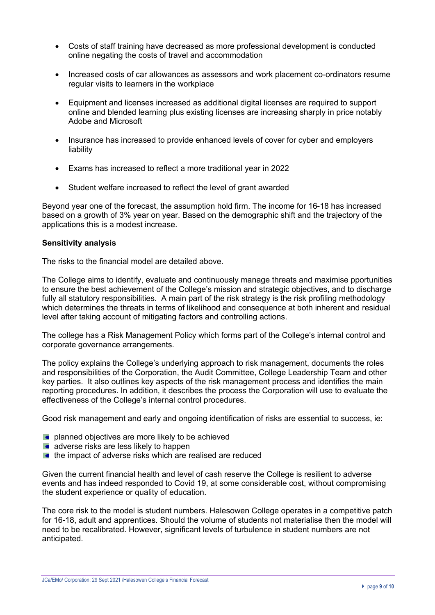- Costs of staff training have decreased as more professional development is conducted online negating the costs of travel and accommodation
- Increased costs of car allowances as assessors and work placement co-ordinators resume regular visits to learners in the workplace
- Equipment and licenses increased as additional digital licenses are required to support online and blended learning plus existing licenses are increasing sharply in price notably Adobe and Microsoft
- Insurance has increased to provide enhanced levels of cover for cyber and employers liability
- Exams has increased to reflect a more traditional year in 2022
- Student welfare increased to reflect the level of grant awarded

Beyond year one of the forecast, the assumption hold firm. The income for 16-18 has increased based on a growth of 3% year on year. Based on the demographic shift and the trajectory of the applications this is a modest increase.

#### **Sensitivity analysis**

The risks to the financial model are detailed above.

The College aims to identify, evaluate and continuously manage threats and maximise pportunities to ensure the best achievement of the College's mission and strategic objectives, and to discharge fully all statutory responsibilities. A main part of the risk strategy is the risk profiling methodology which determines the threats in terms of likelihood and consequence at both inherent and residual level after taking account of mitigating factors and controlling actions.

The college has a Risk Management Policy which forms part of the College's internal control and corporate governance arrangements.

The policy explains the College's underlying approach to risk management, documents the roles and responsibilities of the Corporation, the Audit Committee, College Leadership Team and other key parties. It also outlines key aspects of the risk management process and identifies the main reporting procedures. In addition, it describes the process the Corporation will use to evaluate the effectiveness of the College's internal control procedures.

Good risk management and early and ongoing identification of risks are essential to success, ie:

- **planned objectives are more likely to be achieved**
- $\blacksquare$  adverse risks are less likely to happen
- $\blacksquare$  the impact of adverse risks which are realised are reduced

Given the current financial health and level of cash reserve the College is resilient to adverse events and has indeed responded to Covid 19, at some considerable cost, without compromising the student experience or quality of education.

The core risk to the model is student numbers. Halesowen College operates in a competitive patch for 16-18, adult and apprentices. Should the volume of students not materialise then the model will need to be recalibrated. However, significant levels of turbulence in student numbers are not anticipated.